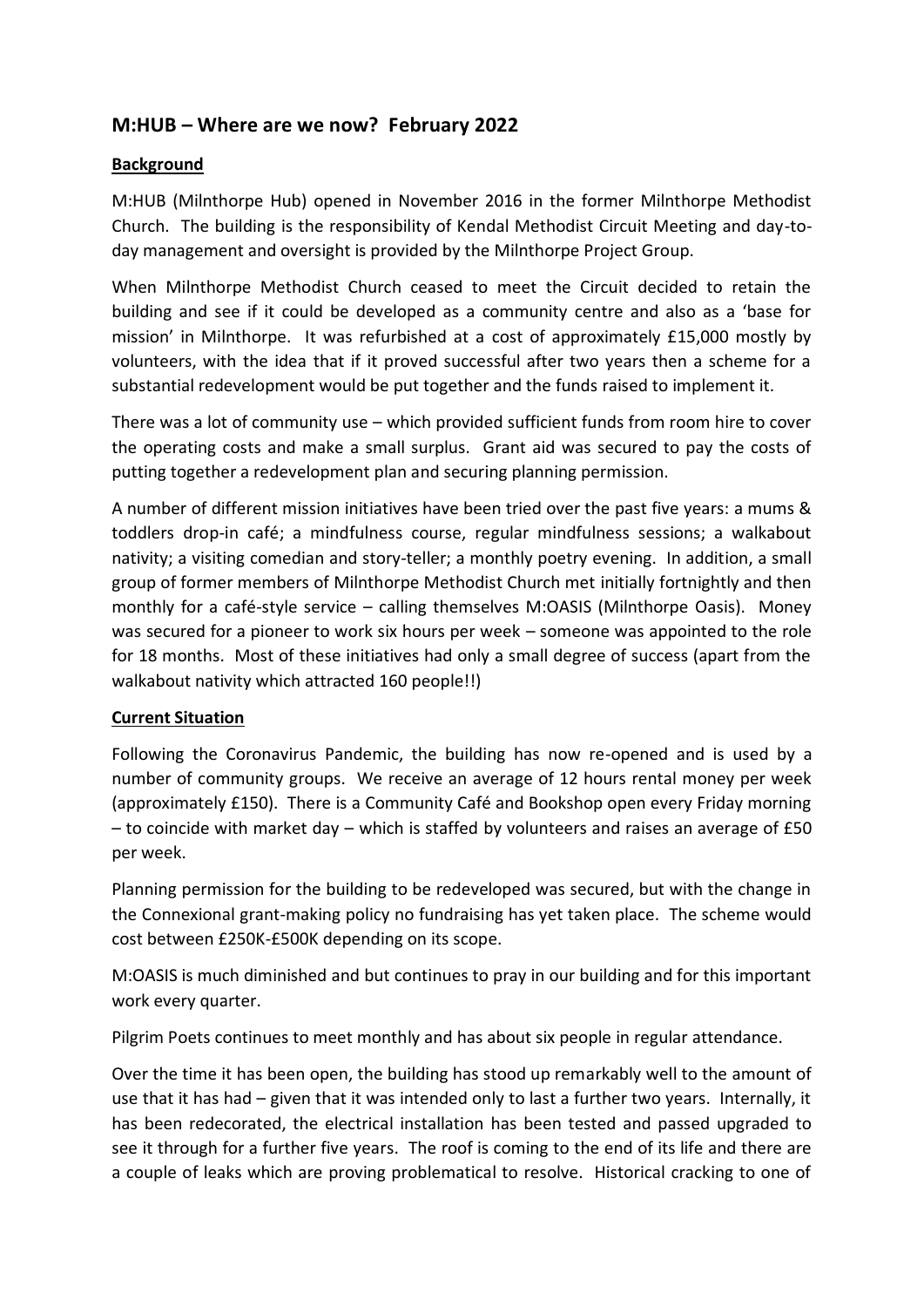# **M:HUB – Where are we now? February 2022**

#### **Background**

M:HUB (Milnthorpe Hub) opened in November 2016 in the former Milnthorpe Methodist Church. The building is the responsibility of Kendal Methodist Circuit Meeting and day-today management and oversight is provided by the Milnthorpe Project Group.

When Milnthorpe Methodist Church ceased to meet the Circuit decided to retain the building and see if it could be developed as a community centre and also as a 'base for mission' in Milnthorpe. It was refurbished at a cost of approximately £15,000 mostly by volunteers, with the idea that if it proved successful after two years then a scheme for a substantial redevelopment would be put together and the funds raised to implement it.

There was a lot of community use – which provided sufficient funds from room hire to cover the operating costs and make a small surplus. Grant aid was secured to pay the costs of putting together a redevelopment plan and securing planning permission.

A number of different mission initiatives have been tried over the past five years: a mums & toddlers drop-in café; a mindfulness course, regular mindfulness sessions; a walkabout nativity; a visiting comedian and story-teller; a monthly poetry evening. In addition, a small group of former members of Milnthorpe Methodist Church met initially fortnightly and then monthly for a café-style service – calling themselves M:OASIS (Milnthorpe Oasis). Money was secured for a pioneer to work six hours per week – someone was appointed to the role for 18 months. Most of these initiatives had only a small degree of success (apart from the walkabout nativity which attracted 160 people!!)

### **Current Situation**

Following the Coronavirus Pandemic, the building has now re-opened and is used by a number of community groups. We receive an average of 12 hours rental money per week (approximately £150). There is a Community Café and Bookshop open every Friday morning – to coincide with market day – which is staffed by volunteers and raises an average of £50 per week.

Planning permission for the building to be redeveloped was secured, but with the change in the Connexional grant-making policy no fundraising has yet taken place. The scheme would cost between £250K-£500K depending on its scope.

M:OASIS is much diminished and but continues to pray in our building and for this important work every quarter.

Pilgrim Poets continues to meet monthly and has about six people in regular attendance.

Over the time it has been open, the building has stood up remarkably well to the amount of use that it has had – given that it was intended only to last a further two years. Internally, it has been redecorated, the electrical installation has been tested and passed upgraded to see it through for a further five years. The roof is coming to the end of its life and there are a couple of leaks which are proving problematical to resolve. Historical cracking to one of